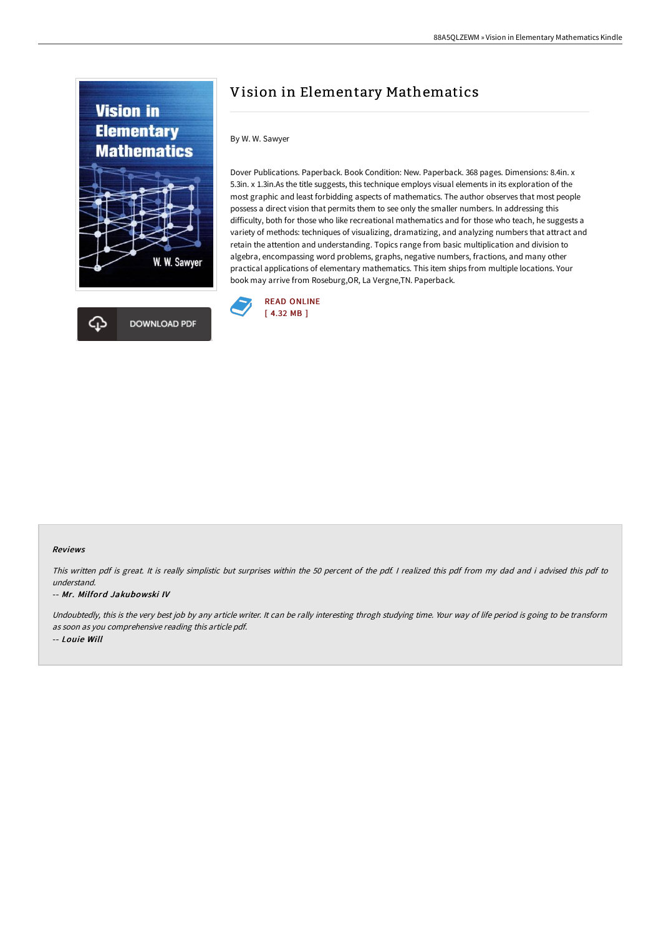



# Vision in Elementary Mathematics

### By W. W. Sawyer

Dover Publications. Paperback. Book Condition: New. Paperback. 368 pages. Dimensions: 8.4in. x 5.3in. x 1.3in.As the title suggests, this technique employs visual elements in its exploration of the most graphic and least forbidding aspects of mathematics. The author observes that most people possess a direct vision that permits them to see only the smaller numbers. In addressing this difficulty, both for those who like recreational mathematics and for those who teach, he suggests a variety of methods: techniques of visualizing, dramatizing, and analyzing numbers that attract and retain the attention and understanding. Topics range from basic multiplication and division to algebra, encompassing word problems, graphs, negative numbers, fractions, and many other practical applications of elementary mathematics. This item ships from multiple locations. Your book may arrive from Roseburg,OR, La Vergne,TN. Paperback.



#### Reviews

This written pdf is great. It is really simplistic but surprises within the <sup>50</sup> percent of the pdf. <sup>I</sup> realized this pdf from my dad and i advised this pdf to understand.

#### -- Mr. Milford Jakubowski IV

Undoubtedly, this is the very best job by any article writer. It can be rally interesting throgh studying time. Your way of life period is going to be transform as soon as you comprehensive reading this article pdf. -- Louie Will